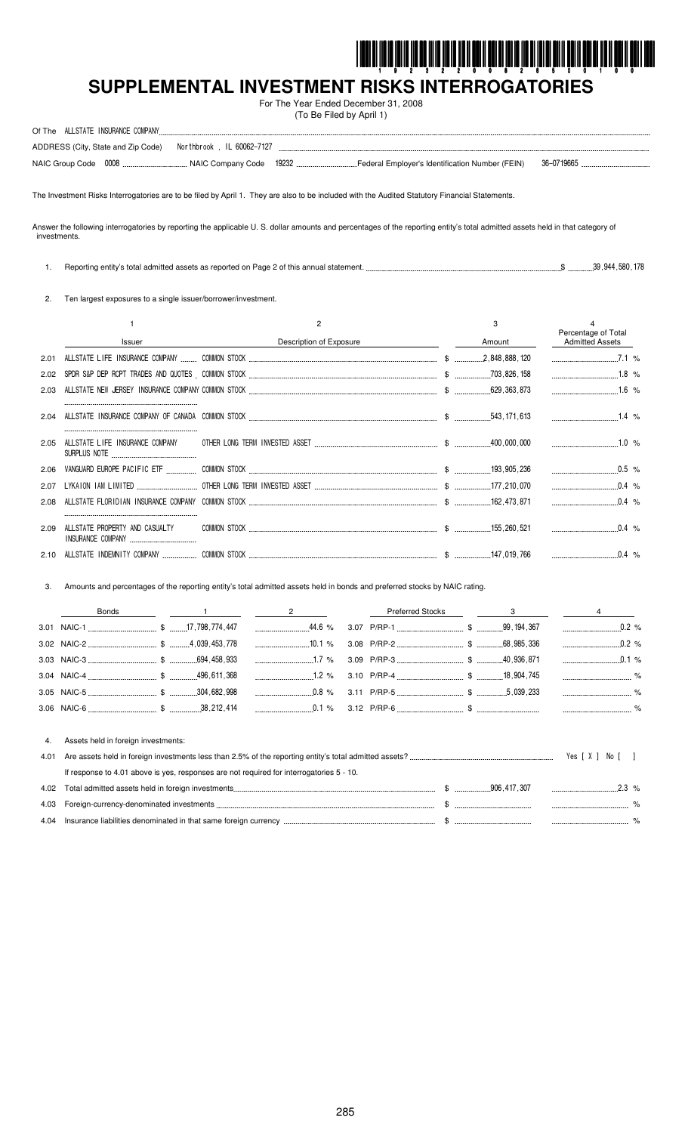

# SUPPLEMENTAL INVESTMENT RISKS INTERROGATORIES

For The Year Ended December 31, 2008 (To Be Filed by April 1)

| Of The ALLSTATE INSURANCE COMPANY |                                                               |  |                  |  |
|-----------------------------------|---------------------------------------------------------------|--|------------------|--|
|                                   | ADDRESS (City, State and Zip Code) Nor thbrook, IL 60062-7127 |  |                  |  |
|                                   |                                                               |  | $-41$ 36-0719665 |  |

The Investment Risks Interrogatories are to be filed by April 1. They are also to be included with the Audited Statutory Financial Statements.

Answer the following interrogatories by reporting the applicable U. S. dollar amounts and percentages of the reporting entity's total admitted assets held in that category of investments.

1. Reporting entity's total admitted assets as reported on Page 2 of this annual statement...  $\$\$  .............39,944,580,178

2. Ten largest exposures to a single issuer/borrower/investment.

|      |                                                     |                         | 3      |                                               |
|------|-----------------------------------------------------|-------------------------|--------|-----------------------------------------------|
|      | Issuer                                              | Description of Exposure | Amount | Percentage of Total<br><b>Admitted Assets</b> |
| 2.01 |                                                     |                         |        | 7.1%                                          |
| 2.02 |                                                     |                         |        | $1.8\%$                                       |
| 2.03 |                                                     |                         |        |                                               |
| 2.04 |                                                     |                         |        |                                               |
| 2.05 |                                                     |                         |        |                                               |
| 2.06 |                                                     |                         |        |                                               |
| 2.07 |                                                     |                         |        |                                               |
| 2.08 |                                                     |                         |        |                                               |
| 2.09 | ALLSTATE PROPERTY AND CASUALTY<br>INSURANCE COMPANY |                         |        |                                               |
|      |                                                     |                         |        |                                               |

Amounts and percentages of the reporting entity's total admitted assets held in bonds and preferred stocks by NAIC rating. 3.

|  |  |  |  | Preferred Stocks 2008 and 300 and 400 and 400 and 400 and 400 and 400 and 400 and 400 and 400 and 400 and 400 and 400 and 400 and 400 and 400 and 400 and 400 and 400 and 400 and 400 and 400 and 400 and 400 and 400 and 400 |
|--|--|--|--|-------------------------------------------------------------------------------------------------------------------------------------------------------------------------------------------------------------------------------|
|  |  |  |  |                                                                                                                                                                                                                               |
|  |  |  |  |                                                                                                                                                                                                                               |
|  |  |  |  |                                                                                                                                                                                                                               |
|  |  |  |  |                                                                                                                                                                                                                               |
|  |  |  |  |                                                                                                                                                                                                                               |
|  |  |  |  |                                                                                                                                                                                                                               |

| 4.   | Assets held in foreign investments:                                                      |                 |  |             |               |
|------|------------------------------------------------------------------------------------------|-----------------|--|-------------|---------------|
| 4.01 |                                                                                          | Yes [X ] No [ ] |  |             |               |
|      | If response to 4.01 above is yes, responses are not required for interrogatories 5 - 10. |                 |  |             |               |
|      |                                                                                          |                 |  |             |               |
|      |                                                                                          |                 |  | $\sim$ $\%$ |               |
|      | 4.04 Insurance liabilities denominated in that same foreign currency                     |                 |  |             | $\frac{9}{6}$ |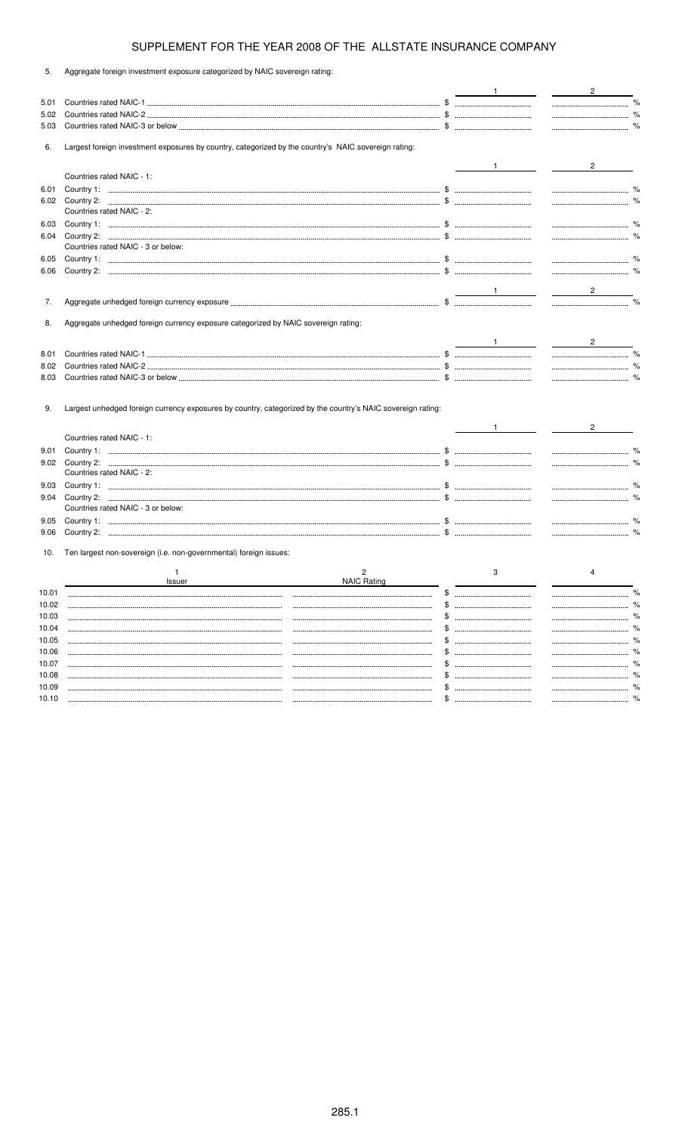| 5.    | Aggregate foreign investment exposure categorized by NAIC sovereign rating:                                 |                                               |                             |
|-------|-------------------------------------------------------------------------------------------------------------|-----------------------------------------------|-----------------------------|
|       |                                                                                                             |                                               | $\frac{2}{\sqrt{2}}$        |
| 5.01  |                                                                                                             |                                               |                             |
| 5.02  |                                                                                                             |                                               |                             |
| 5.03  |                                                                                                             |                                               |                             |
| 6.    | Largest foreign investment exposures by country, categorized by the country's NAIC sovereign rating:        |                                               |                             |
|       |                                                                                                             |                                               | $\overline{2}$              |
|       | Countries rated NAIC - 1:                                                                                   |                                               |                             |
| 6.01  |                                                                                                             |                                               |                             |
| 6.02  | Countries rated NAIC - 2:                                                                                   |                                               |                             |
| 6.03  |                                                                                                             |                                               |                             |
| 6.04  |                                                                                                             |                                               |                             |
|       | Countries rated NAIC - 3 or below:                                                                          |                                               |                             |
| 6.05  |                                                                                                             |                                               |                             |
| 6.06  |                                                                                                             |                                               |                             |
|       |                                                                                                             |                                               |                             |
| 7.    |                                                                                                             |                                               | $\frac{2}{\sqrt{2}}$        |
|       |                                                                                                             |                                               |                             |
| 8.    | Aggregate unhedged foreign currency exposure categorized by NAIC sovereign rating:                          |                                               |                             |
|       |                                                                                                             |                                               |                             |
| 8.01  |                                                                                                             |                                               |                             |
| 8.02  |                                                                                                             |                                               | $\sim$ $\sim$ $\sim$ $\sim$ |
| 8.03  |                                                                                                             |                                               |                             |
| 9.    | Largest unhedged foreign currency exposures by country, categorized by the country's NAIC sovereign rating: |                                               |                             |
|       | Countries rated NAIC - 1:                                                                                   |                                               |                             |
| 9.01  |                                                                                                             |                                               |                             |
|       |                                                                                                             |                                               |                             |
|       | Countries rated NAIC - 2:                                                                                   |                                               |                             |
| 9.03  |                                                                                                             |                                               |                             |
| 9.04  |                                                                                                             |                                               |                             |
|       | Countries rated NAIC - 3 or below:                                                                          |                                               |                             |
| 9.05  |                                                                                                             |                                               |                             |
| 9.06  |                                                                                                             |                                               |                             |
| 10.   | Ten largest non-sovereign (i.e. non-governmental) foreign issues:                                           |                                               |                             |
|       |                                                                                                             | 3                                             |                             |
|       | <b>NAIC Rating</b><br>Issuer                                                                                |                                               |                             |
| 10.01 |                                                                                                             | \$.<br>-------------------------------------- |                             |
| 10.02 |                                                                                                             |                                               |                             |
| 10.03 |                                                                                                             |                                               |                             |
| 10.04 |                                                                                                             |                                               |                             |
| 10.05 |                                                                                                             | --------------------------------------        |                             |
| 10.06 |                                                                                                             |                                               |                             |
| 10.07 |                                                                                                             |                                               |                             |
| 10.08 |                                                                                                             |                                               |                             |
| 10.09 |                                                                                                             |                                               |                             |
| 10.10 |                                                                                                             |                                               |                             |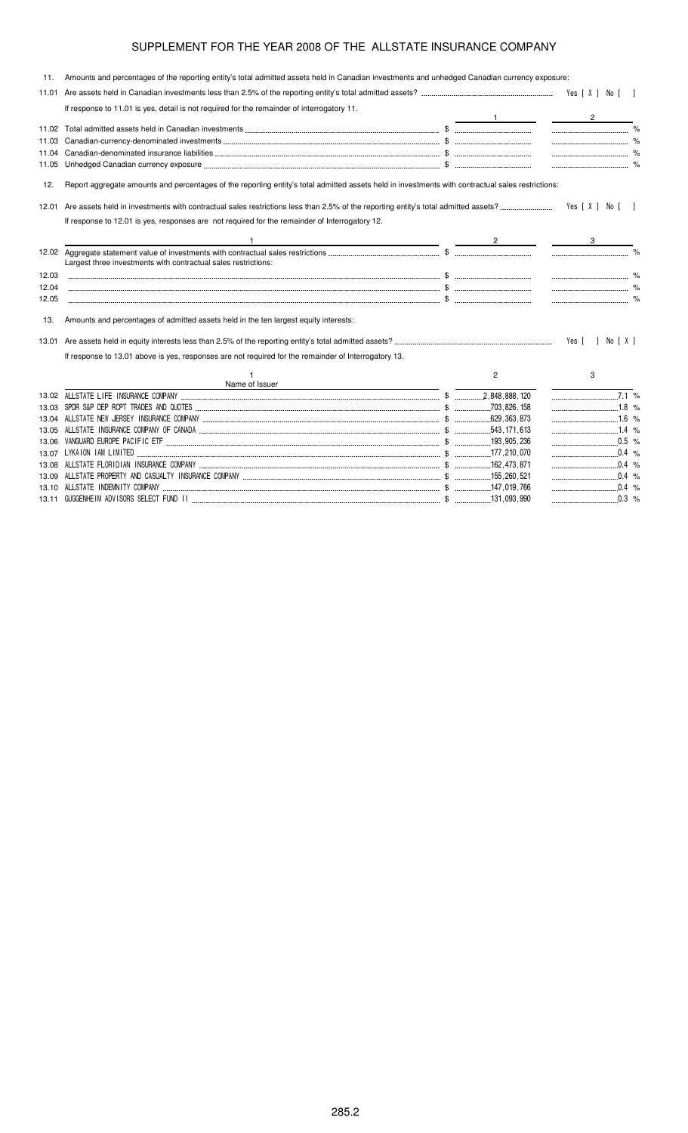| 11.            | Amounts and percentages of the reporting entity's total admitted assets held in Canadian investments and unhedged Canadian currency exposure:     |                |                      |
|----------------|---------------------------------------------------------------------------------------------------------------------------------------------------|----------------|----------------------|
| 11.01          |                                                                                                                                                   |                |                      |
|                | If response to 11.01 is yes, detail is not required for the remainder of interrogatory 11.                                                        |                |                      |
|                |                                                                                                                                                   |                | $\overline{2}$       |
| 11.02          |                                                                                                                                                   |                |                      |
| 11.03          |                                                                                                                                                   |                | $\sim$ $\sim$ $\sim$ |
| 11.04          |                                                                                                                                                   |                |                      |
| 11.05          |                                                                                                                                                   |                |                      |
| 12.            | Report aggregate amounts and percentages of the reporting entity's total admitted assets held in investments with contractual sales restrictions: |                |                      |
| 12.01          |                                                                                                                                                   |                |                      |
|                | If response to 12.01 is yes, responses are not required for the remainder of Interrogatory 12.                                                    |                |                      |
|                |                                                                                                                                                   |                |                      |
|                | <u> 1989 - Johann Stoff, deutscher Stoff, der Stoff, der Stoff, der Stoff, der Stoff, der Stoff, der Stoff, der S</u>                             |                |                      |
|                | Largest three investments with contractual sales restrictions:                                                                                    |                |                      |
|                |                                                                                                                                                   |                |                      |
| 12.03<br>12.04 |                                                                                                                                                   |                |                      |
| 12.05          |                                                                                                                                                   |                |                      |
|                |                                                                                                                                                   |                |                      |
| 13.            | Amounts and percentages of admitted assets held in the ten largest equity interests:                                                              |                |                      |
|                |                                                                                                                                                   |                | Yes [ ] No [ X ]     |
|                | If response to 13.01 above is yes, responses are not required for the remainder of Interrogatory 13.                                              |                |                      |
|                |                                                                                                                                                   | $\overline{2}$ | 3                    |
|                | Name of Issuer                                                                                                                                    |                |                      |
|                |                                                                                                                                                   |                | $7.1\%$              |
| 13.03          |                                                                                                                                                   |                | $\ldots$             |
|                |                                                                                                                                                   |                |                      |
| 13.05          |                                                                                                                                                   |                | $1.4$ %              |
| 13.06          |                                                                                                                                                   |                |                      |
| 13.07          |                                                                                                                                                   |                | $0.4\%$              |
| 13.08          |                                                                                                                                                   |                |                      |
|                |                                                                                                                                                   |                |                      |

13.10  \$ '## % 13.11 )))+ (  \$ "'"'' " %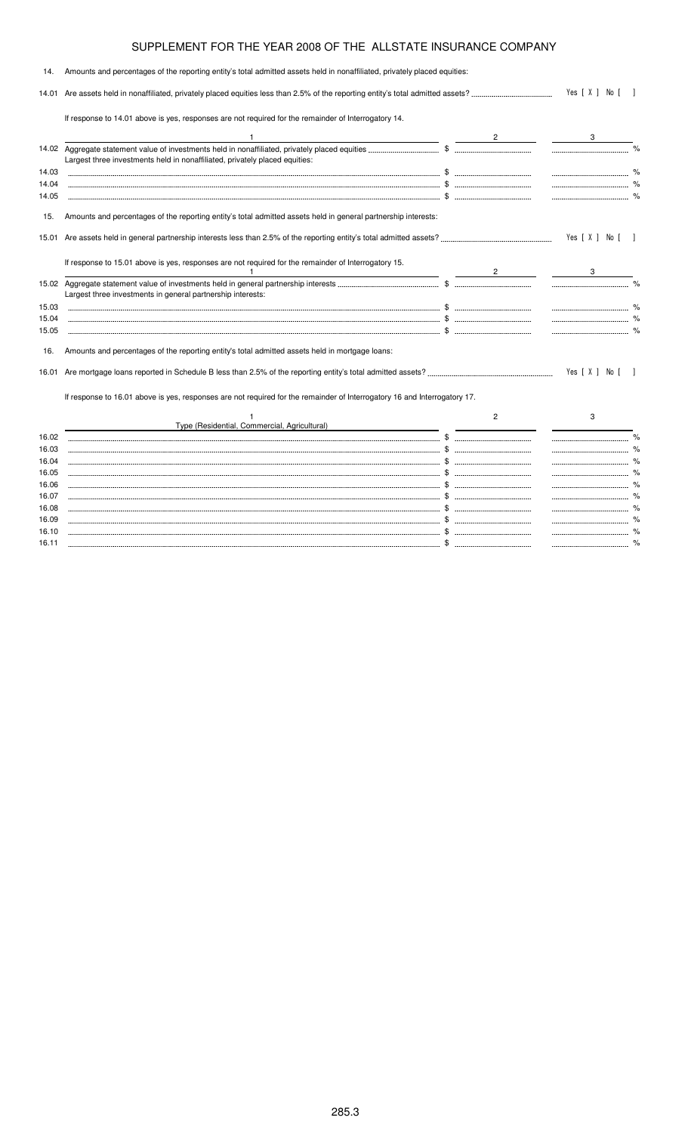| 14.            | Amounts and percentages of the reporting entity's total admitted assets held in nonaffiliated, privately placed equities: |                |                  |                |
|----------------|---------------------------------------------------------------------------------------------------------------------------|----------------|------------------|----------------|
| 14.01          |                                                                                                                           | Yes [ X ] No [ |                  |                |
|                | If response to 14.01 above is yes, responses are not required for the remainder of Interrogatory 14.                      |                |                  |                |
|                |                                                                                                                           |                |                  |                |
|                | Largest three investments held in nonaffiliated, privately placed equities:                                               |                |                  |                |
| 14.03          |                                                                                                                           |                |                  |                |
| 14.04          |                                                                                                                           |                |                  |                |
| 14.05          |                                                                                                                           |                |                  |                |
| 15.            | Amounts and percentages of the reporting entity's total admitted assets held in general partnership interests:            |                |                  |                |
|                |                                                                                                                           |                | Yes [ X ] No [ ] |                |
|                | If response to 15.01 above is yes, responses are not required for the remainder of Interrogatory 15.                      | 2 $\qquad$     |                  |                |
|                | Largest three investments in general partnership interests:                                                               |                |                  |                |
| 15.03          |                                                                                                                           |                |                  |                |
| 15.04          |                                                                                                                           |                |                  |                |
| 15.05          |                                                                                                                           |                |                  |                |
| 16.            | Amounts and percentages of the reporting entity's total admitted assets held in mortgage loans:                           |                |                  |                |
|                |                                                                                                                           |                | Yes [ X ] No [   | $\blacksquare$ |
|                | If response to 16.01 above is yes, responses are not required for the remainder of Interrogatory 16 and Interrogatory 17. |                |                  |                |
|                |                                                                                                                           | 2              | 3                |                |
|                | Type (Residential, Commercial, Agricultural)                                                                              |                |                  |                |
| 16.02          |                                                                                                                           |                |                  |                |
| 16.03          |                                                                                                                           |                |                  |                |
| 16.04          |                                                                                                                           |                |                  |                |
| 16.05          |                                                                                                                           |                |                  |                |
| 16.06          |                                                                                                                           |                |                  |                |
| 16.07<br>16.08 |                                                                                                                           |                |                  |                |
| 16.09          |                                                                                                                           |                |                  |                |
|                |                                                                                                                           |                |                  |                |

16.10 \$ % 16.11 \$ %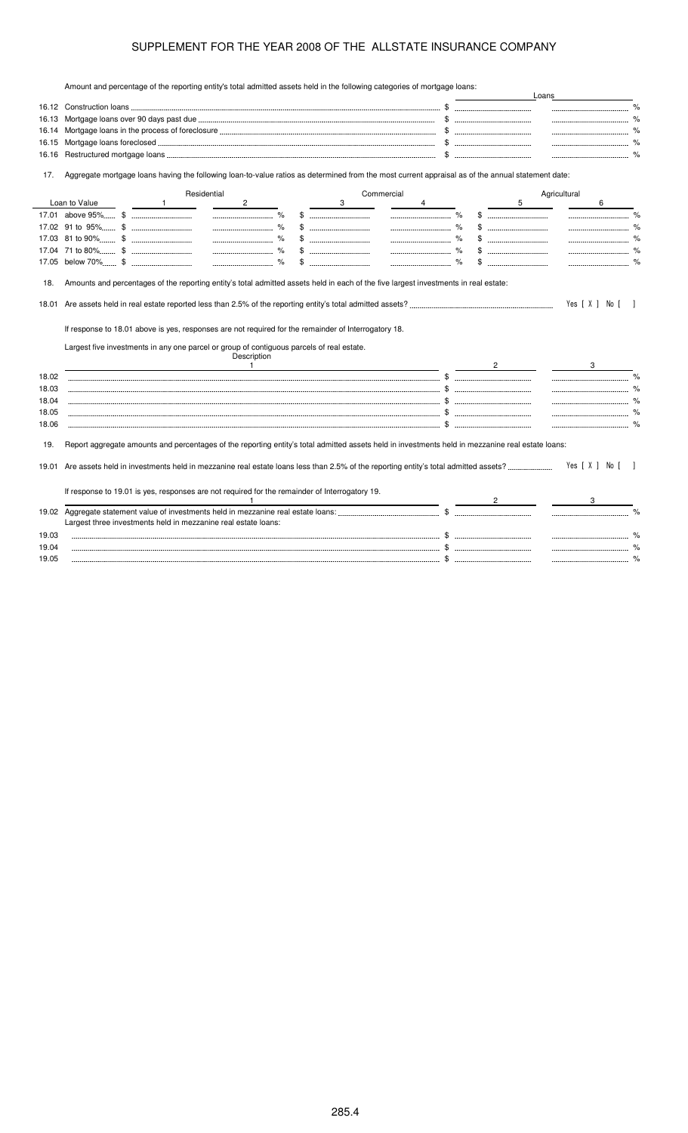Amount and percentage of the reporting entity's total admitted assets held in the following categories of mortgage loans:

|                         |               |              |                                                                                                                                                                                                                  |             |   |            |   |                |   | Loans        |                |               |
|-------------------------|---------------|--------------|------------------------------------------------------------------------------------------------------------------------------------------------------------------------------------------------------------------|-------------|---|------------|---|----------------|---|--------------|----------------|---------------|
|                         |               |              |                                                                                                                                                                                                                  |             |   |            |   |                |   |              |                |               |
| 16.13                   |               |              |                                                                                                                                                                                                                  |             |   |            |   |                |   |              |                |               |
| 16.14                   |               |              |                                                                                                                                                                                                                  |             |   |            |   |                |   |              |                |               |
| 16.15                   |               |              |                                                                                                                                                                                                                  |             |   |            |   |                |   |              |                |               |
| 16.16                   |               |              |                                                                                                                                                                                                                  |             |   |            |   |                |   |              | $\%$           |               |
| 17.                     |               |              | Aggregate mortgage loans having the following loan-to-value ratios as determined from the most current appraisal as of the annual statement date:                                                                |             |   |            |   |                |   |              |                |               |
|                         |               |              | Residential                                                                                                                                                                                                      |             |   | Commercial |   |                |   | Agricultural |                |               |
|                         | Loan to Value | $\mathbf{1}$ | $\overline{2}$                                                                                                                                                                                                   |             | 3 |            | 4 |                | 5 |              | 6              |               |
|                         |               |              |                                                                                                                                                                                                                  |             |   |            |   |                |   |              |                |               |
|                         |               |              |                                                                                                                                                                                                                  | \$          |   |            |   |                |   |              |                |               |
|                         |               |              |                                                                                                                                                                                                                  | $\%$<br>\$. |   |            |   |                |   |              |                |               |
|                         |               |              |                                                                                                                                                                                                                  |             |   |            |   |                |   |              |                |               |
|                         |               |              |                                                                                                                                                                                                                  |             |   |            |   |                |   |              |                |               |
| 18.01                   |               |              |                                                                                                                                                                                                                  |             |   |            |   |                |   |              | Yes [ X ] No [ |               |
|                         |               |              | If response to 18.01 above is yes, responses are not required for the remainder of Interrogatory 18.<br>Largest five investments in any one parcel or group of contiguous parcels of real estate.<br>Description |             |   |            |   |                |   |              |                |               |
|                         |               |              | $\overline{1}$                                                                                                                                                                                                   |             |   |            |   | $\overline{2}$ |   |              |                |               |
|                         |               |              |                                                                                                                                                                                                                  |             |   |            |   |                |   |              |                |               |
|                         |               |              |                                                                                                                                                                                                                  |             |   |            |   |                |   |              |                |               |
| 18.02<br>18.03<br>18.04 |               |              |                                                                                                                                                                                                                  |             |   |            |   |                |   |              |                |               |
| 18.05<br>18.06          |               |              |                                                                                                                                                                                                                  |             |   |            |   |                |   |              |                |               |
| 19.                     |               |              | Report aggregate amounts and percentages of the reporting entity's total admitted assets held in investments held in mezzanine real estate loans:                                                                |             |   |            |   |                |   |              |                |               |
|                         |               |              |                                                                                                                                                                                                                  |             |   |            |   |                |   |              | Yes [ X ] No [ |               |
|                         |               |              | If response to 19.01 is yes, responses are not required for the remainder of Interrogatory 19.                                                                                                                   |             |   |            |   |                |   |              |                |               |
|                         |               |              |                                                                                                                                                                                                                  |             |   |            |   |                |   |              |                |               |
|                         |               |              |                                                                                                                                                                                                                  |             |   |            |   |                |   |              |                |               |
|                         |               |              | Largest three investments held in mezzanine real estate loans:                                                                                                                                                   |             |   |            |   |                |   |              |                |               |
| 19.01<br>19.02<br>19.03 |               |              |                                                                                                                                                                                                                  |             |   |            |   |                |   |              |                | $\frac{1}{2}$ |
| 19.04<br>19.05          |               |              |                                                                                                                                                                                                                  |             |   |            |   |                |   |              |                | %             |